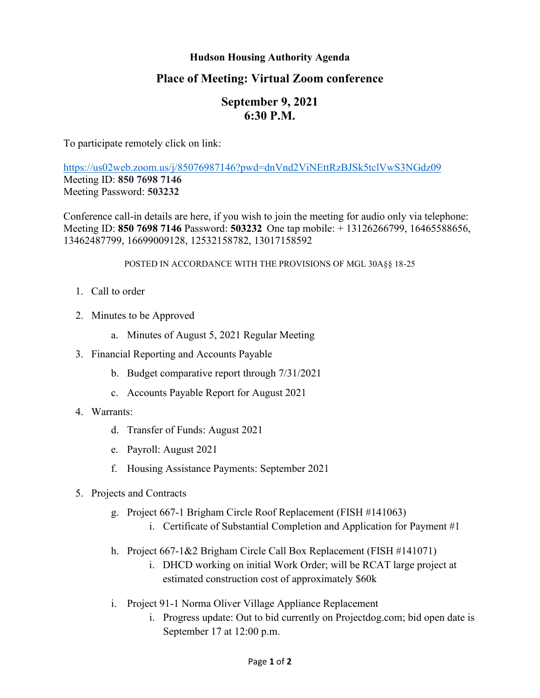## **Hudson Housing Authority Agenda**

## **Place of Meeting: Virtual Zoom conference**

# **September 9, 2021 6:30 P.M.**

To participate remotely click on link:

<https://us02web.zoom.us/j/85076987146?pwd=dnVnd2ViNEttRzBJSk5tclVwS3NGdz09> Meeting ID: **850 7698 7146** Meeting Password: **503232**

Conference call-in details are here, if you wish to join the meeting for audio only via telephone: Meeting ID: **850 7698 7146** Password: **503232** One tap mobile: + 13126266799, 16465588656, 13462487799, 16699009128, 12532158782, 13017158592

#### POSTED IN ACCORDANCE WITH THE PROVISIONS OF MGL 30A§§ 18-25

- 1. Call to order
- 2. Minutes to be Approved
	- a. Minutes of August 5, 2021 Regular Meeting
- 3. Financial Reporting and Accounts Payable
	- b. Budget comparative report through 7/31/2021
	- c. Accounts Payable Report for August 2021
- 4. Warrants:
	- d. Transfer of Funds: August 2021
	- e. Payroll: August 2021
	- f. Housing Assistance Payments: September 2021
- 5. Projects and Contracts
	- g. Project 667-1 Brigham Circle Roof Replacement (FISH #141063)
		- i. Certificate of Substantial Completion and Application for Payment #1
	- h. Project 667-1&2 Brigham Circle Call Box Replacement (FISH #141071)
		- i. DHCD working on initial Work Order; will be RCAT large project at estimated construction cost of approximately \$60k
	- i. Project 91-1 Norma Oliver Village Appliance Replacement
		- i. Progress update: Out to bid currently on Projectdog.com; bid open date is September 17 at 12:00 p.m.